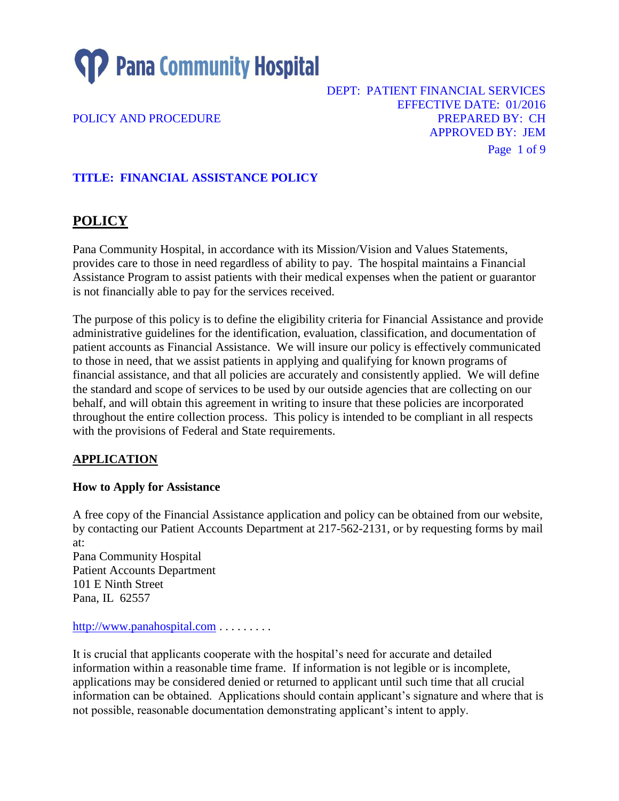

DEPT: PATIENT FINANCIAL SERVICES EFFECTIVE DATE: 01/2016 POLICY AND PROCEDURE **POLICY AND PROCEDURE** APPROVED BY: JEM Page 1 of 9

# **TITLE: FINANCIAL ASSISTANCE POLICY**

# **POLICY**

Pana Community Hospital, in accordance with its Mission/Vision and Values Statements, provides care to those in need regardless of ability to pay. The hospital maintains a Financial Assistance Program to assist patients with their medical expenses when the patient or guarantor is not financially able to pay for the services received.

The purpose of this policy is to define the eligibility criteria for Financial Assistance and provide administrative guidelines for the identification, evaluation, classification, and documentation of patient accounts as Financial Assistance. We will insure our policy is effectively communicated to those in need, that we assist patients in applying and qualifying for known programs of financial assistance, and that all policies are accurately and consistently applied. We will define the standard and scope of services to be used by our outside agencies that are collecting on our behalf, and will obtain this agreement in writing to insure that these policies are incorporated throughout the entire collection process. This policy is intended to be compliant in all respects with the provisions of Federal and State requirements.

### **APPLICATION**

### **How to Apply for Assistance**

A free copy of the Financial Assistance application and policy can be obtained from our website, by contacting our Patient Accounts Department at 217-562-2131, or by requesting forms by mail at: Pana Community Hospital Patient Accounts Department 101 E Ninth Street Pana, IL 62557

[http://www.panahospital.com](http://www.panahospital.com/) . . . . . . . . .

It is crucial that applicants cooperate with the hospital's need for accurate and detailed information within a reasonable time frame. If information is not legible or is incomplete, applications may be considered denied or returned to applicant until such time that all crucial information can be obtained. Applications should contain applicant's signature and where that is not possible, reasonable documentation demonstrating applicant's intent to apply.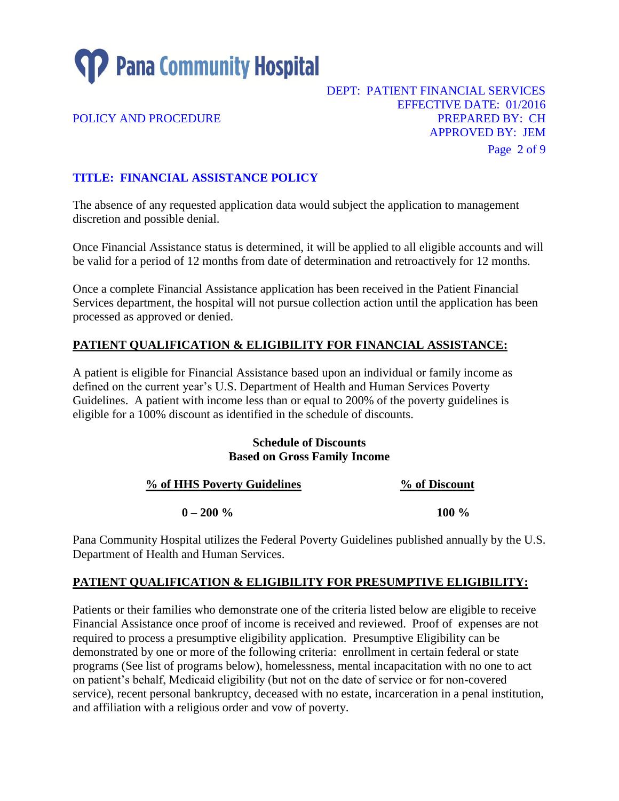

### DEPT: PATIENT FINANCIAL SERVICES EFFECTIVE DATE: 01/2016 POLICY AND PROCEDURE **POLICY AND PROCEDURE PREPARED BY: CH** APPROVED BY: JEM Page 2 of 9

# **TITLE: FINANCIAL ASSISTANCE POLICY**

The absence of any requested application data would subject the application to management discretion and possible denial.

Once Financial Assistance status is determined, it will be applied to all eligible accounts and will be valid for a period of 12 months from date of determination and retroactively for 12 months.

Once a complete Financial Assistance application has been received in the Patient Financial Services department, the hospital will not pursue collection action until the application has been processed as approved or denied.

## **PATIENT QUALIFICATION & ELIGIBILITY FOR FINANCIAL ASSISTANCE:**

A patient is eligible for Financial Assistance based upon an individual or family income as defined on the current year's U.S. Department of Health and Human Services Poverty Guidelines. A patient with income less than or equal to 200% of the poverty guidelines is eligible for a 100% discount as identified in the schedule of discounts.

#### **Schedule of Discounts Based on Gross Family Income**

| % of HHS Poverty Guidelines | % of Discount |
|-----------------------------|---------------|
| $0 - 200 %$                 | 100 $\%$      |

Pana Community Hospital utilizes the Federal Poverty Guidelines published annually by the U.S. Department of Health and Human Services.

### **PATIENT QUALIFICATION & ELIGIBILITY FOR PRESUMPTIVE ELIGIBILITY:**

Patients or their families who demonstrate one of the criteria listed below are eligible to receive Financial Assistance once proof of income is received and reviewed. Proof of expenses are not required to process a presumptive eligibility application. Presumptive Eligibility can be demonstrated by one or more of the following criteria: enrollment in certain federal or state programs (See list of programs below), homelessness, mental incapacitation with no one to act on patient's behalf, Medicaid eligibility (but not on the date of service or for non-covered service), recent personal bankruptcy, deceased with no estate, incarceration in a penal institution, and affiliation with a religious order and vow of poverty.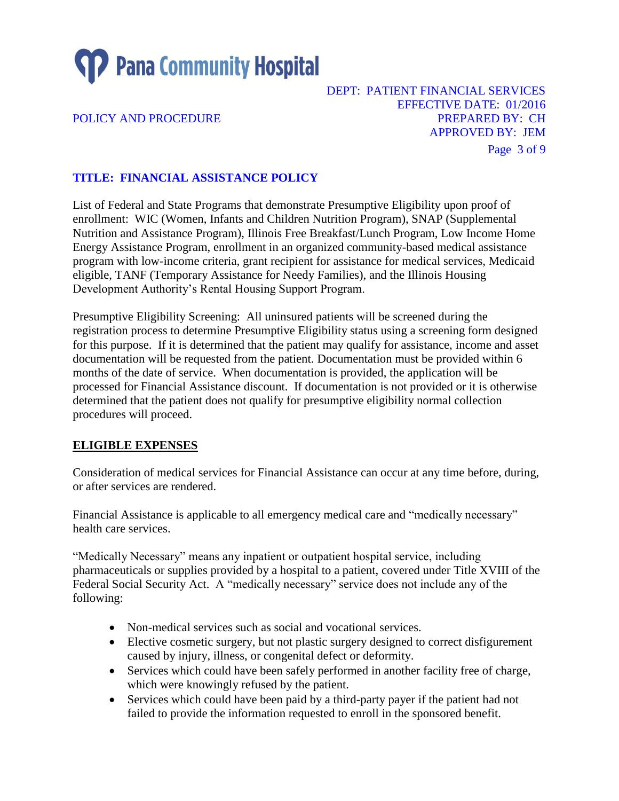

### DEPT: PATIENT FINANCIAL SERVICES EFFECTIVE DATE: 01/2016 POLICY AND PROCEDURE **POLICY AND PROCEDURE PREPARED BY: CH** APPROVED BY: JEM Page 3 of 9

# **TITLE: FINANCIAL ASSISTANCE POLICY**

List of Federal and State Programs that demonstrate Presumptive Eligibility upon proof of enrollment: WIC (Women, Infants and Children Nutrition Program), SNAP (Supplemental Nutrition and Assistance Program), Illinois Free Breakfast/Lunch Program, Low Income Home Energy Assistance Program, enrollment in an organized community-based medical assistance program with low-income criteria, grant recipient for assistance for medical services, Medicaid eligible, TANF (Temporary Assistance for Needy Families), and the Illinois Housing Development Authority's Rental Housing Support Program.

Presumptive Eligibility Screening: All uninsured patients will be screened during the registration process to determine Presumptive Eligibility status using a screening form designed for this purpose. If it is determined that the patient may qualify for assistance, income and asset documentation will be requested from the patient. Documentation must be provided within 6 months of the date of service. When documentation is provided, the application will be processed for Financial Assistance discount. If documentation is not provided or it is otherwise determined that the patient does not qualify for presumptive eligibility normal collection procedures will proceed.

### **ELIGIBLE EXPENSES**

Consideration of medical services for Financial Assistance can occur at any time before, during, or after services are rendered.

Financial Assistance is applicable to all emergency medical care and "medically necessary" health care services.

"Medically Necessary" means any inpatient or outpatient hospital service, including pharmaceuticals or supplies provided by a hospital to a patient, covered under Title XVIII of the Federal Social Security Act. A "medically necessary" service does not include any of the following:

- Non-medical services such as social and vocational services.
- Elective cosmetic surgery, but not plastic surgery designed to correct disfigurement caused by injury, illness, or congenital defect or deformity.
- Services which could have been safely performed in another facility free of charge, which were knowingly refused by the patient.
- Services which could have been paid by a third-party payer if the patient had not failed to provide the information requested to enroll in the sponsored benefit.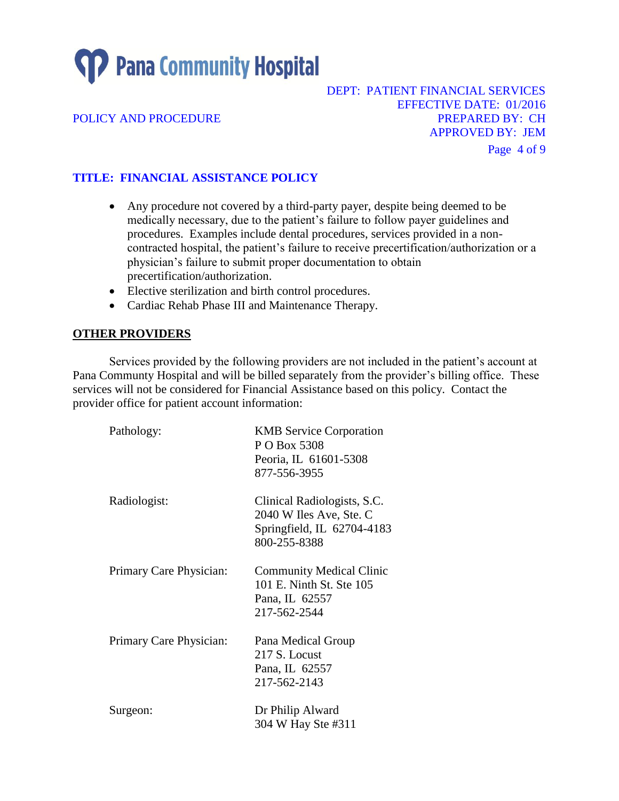# **SP** Pana Community Hospital

### DEPT: PATIENT FINANCIAL SERVICES EFFECTIVE DATE: 01/2016 POLICY AND PROCEDURE **POLICY AND PROCEDURE PREPARED BY: CH** APPROVED BY: JEM Page 4 of 9

# **TITLE: FINANCIAL ASSISTANCE POLICY**

- Any procedure not covered by a third-party payer, despite being deemed to be medically necessary, due to the patient's failure to follow payer guidelines and procedures. Examples include dental procedures, services provided in a noncontracted hospital, the patient's failure to receive precertification/authorization or a physician's failure to submit proper documentation to obtain precertification/authorization.
- Elective sterilization and birth control procedures.
- Cardiac Rehab Phase III and Maintenance Therapy.

### **OTHER PROVIDERS**

Services provided by the following providers are not included in the patient's account at Pana Communty Hospital and will be billed separately from the provider's billing office. These services will not be considered for Financial Assistance based on this policy. Contact the provider office for patient account information:

| Pathology:              | <b>KMB</b> Service Corporation<br>P O Box 5308<br>Peoria, IL 61601-5308<br>877-556-3955              |
|-------------------------|------------------------------------------------------------------------------------------------------|
| Radiologist:            | Clinical Radiologists, S.C.<br>2040 W Iles Ave, Ste. C<br>Springfield, IL 62704-4183<br>800-255-8388 |
| Primary Care Physician: | <b>Community Medical Clinic</b><br>101 E. Ninth St. Ste 105<br>Pana, IL 62557<br>217-562-2544        |
| Primary Care Physician: | Pana Medical Group<br>217 S. Locust<br>Pana, IL 62557<br>217-562-2143                                |
| Surgeon:                | Dr Philip Alward<br>304 W Hay Ste #311                                                               |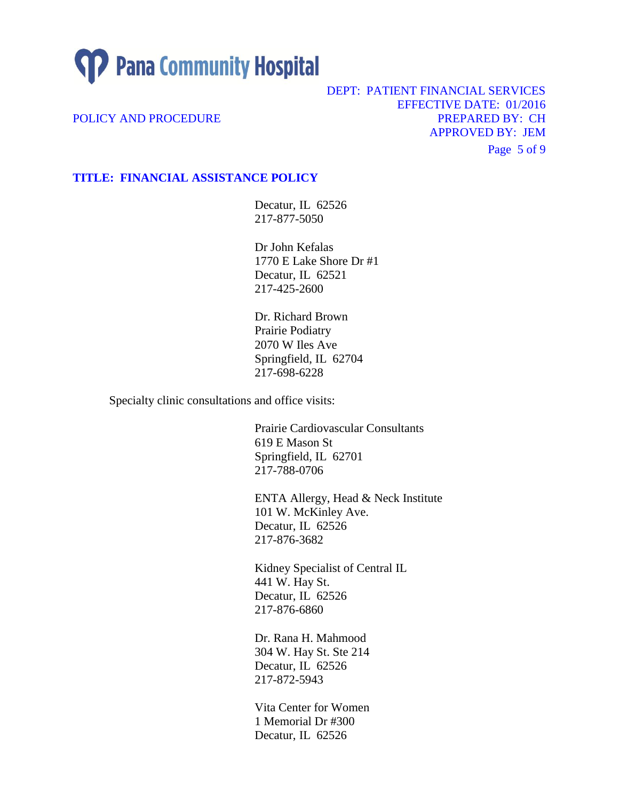**SP** Pana Community Hospital

DEPT: PATIENT FINANCIAL SERVICES EFFECTIVE DATE: 01/2016 POLICY AND PROCEDURE **POLICY AND PROCEDURE** APPROVED BY: JEM Page 5 of 9

#### **TITLE: FINANCIAL ASSISTANCE POLICY**

Decatur, IL 62526 217-877-5050

Dr John Kefalas 1770 E Lake Shore Dr #1 Decatur, IL 62521 217-425-2600

Dr. Richard Brown Prairie Podiatry 2070 W Iles Ave Springfield, IL 62704 217-698-6228

Specialty clinic consultations and office visits:

Prairie Cardiovascular Consultants 619 E Mason St Springfield, IL 62701 217-788-0706

ENTA Allergy, Head & Neck Institute 101 W. McKinley Ave. Decatur, IL 62526 217-876-3682

Kidney Specialist of Central IL 441 W. Hay St. Decatur, IL 62526 217-876-6860

Dr. Rana H. Mahmood 304 W. Hay St. Ste 214 Decatur, IL 62526 217-872-5943

Vita Center for Women 1 Memorial Dr #300 Decatur, IL 62526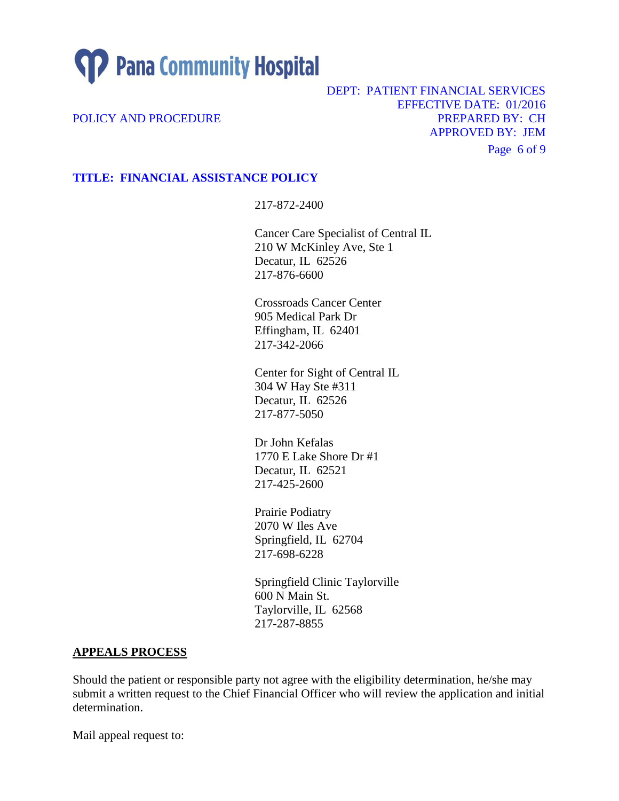

DEPT: PATIENT FINANCIAL SERVICES EFFECTIVE DATE: 01/2016 POLICY AND PROCEDURE **POLICY AND PROCEDURE** APPROVED BY: JEM Page 6 of 9

### **TITLE: FINANCIAL ASSISTANCE POLICY**

217-872-2400

Cancer Care Specialist of Central IL 210 W McKinley Ave, Ste 1 Decatur, IL 62526 217-876-6600

Crossroads Cancer Center 905 Medical Park Dr Effingham, IL 62401 217-342-2066

Center for Sight of Central IL 304 W Hay Ste #311 Decatur, IL 62526 217-877-5050

Dr John Kefalas 1770 E Lake Shore Dr #1 Decatur, IL 62521 217-425-2600

Prairie Podiatry 2070 W Iles Ave Springfield, IL 62704 217-698-6228

Springfield Clinic Taylorville 600 N Main St. Taylorville, IL 62568 217-287-8855

#### **APPEALS PROCESS**

Should the patient or responsible party not agree with the eligibility determination, he/she may submit a written request to the Chief Financial Officer who will review the application and initial determination.

Mail appeal request to: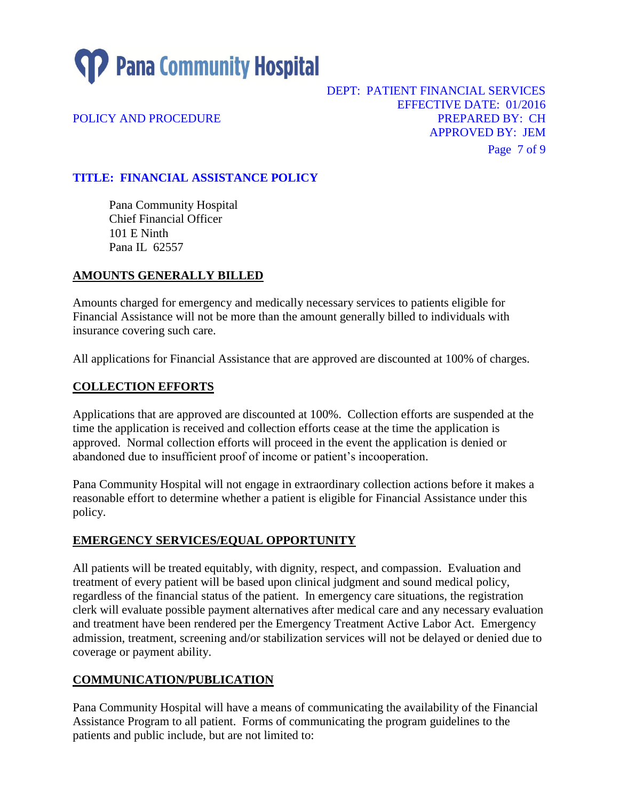

DEPT: PATIENT FINANCIAL SERVICES EFFECTIVE DATE: 01/2016 POLICY AND PROCEDURE **POLICY AND PROCEDURE** APPROVED BY: JEM Page 7 of 9

# **TITLE: FINANCIAL ASSISTANCE POLICY**

Pana Community Hospital Chief Financial Officer 101 E Ninth Pana IL 62557

### **AMOUNTS GENERALLY BILLED**

Amounts charged for emergency and medically necessary services to patients eligible for Financial Assistance will not be more than the amount generally billed to individuals with insurance covering such care.

All applications for Financial Assistance that are approved are discounted at 100% of charges.

### **COLLECTION EFFORTS**

Applications that are approved are discounted at 100%. Collection efforts are suspended at the time the application is received and collection efforts cease at the time the application is approved. Normal collection efforts will proceed in the event the application is denied or abandoned due to insufficient proof of income or patient's incooperation.

Pana Community Hospital will not engage in extraordinary collection actions before it makes a reasonable effort to determine whether a patient is eligible for Financial Assistance under this policy.

### **EMERGENCY SERVICES/EQUAL OPPORTUNITY**

All patients will be treated equitably, with dignity, respect, and compassion. Evaluation and treatment of every patient will be based upon clinical judgment and sound medical policy, regardless of the financial status of the patient. In emergency care situations, the registration clerk will evaluate possible payment alternatives after medical care and any necessary evaluation and treatment have been rendered per the Emergency Treatment Active Labor Act. Emergency admission, treatment, screening and/or stabilization services will not be delayed or denied due to coverage or payment ability.

### **COMMUNICATION/PUBLICATION**

Pana Community Hospital will have a means of communicating the availability of the Financial Assistance Program to all patient. Forms of communicating the program guidelines to the patients and public include, but are not limited to: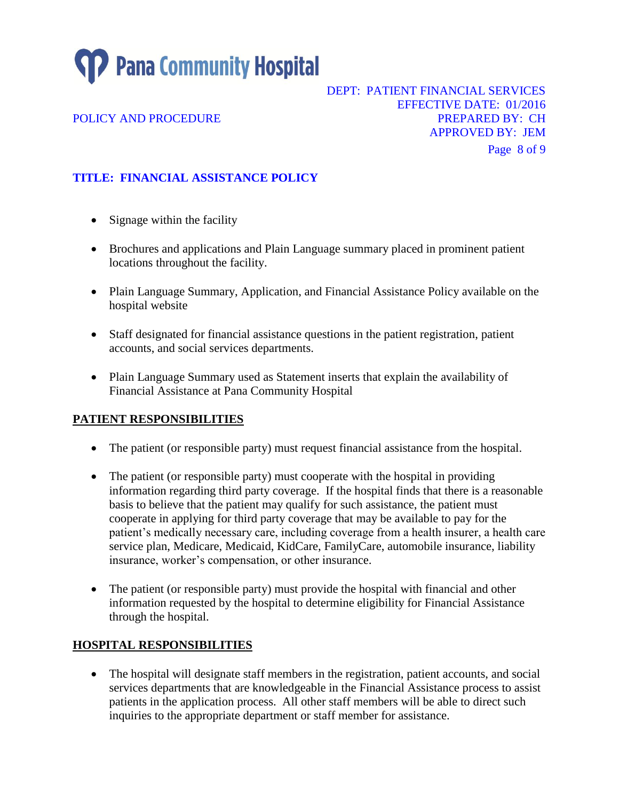**TP** Pana Community Hospital

DEPT: PATIENT FINANCIAL SERVICES EFFECTIVE DATE: 01/2016 POLICY AND PROCEDURE **POLICY AND PROCEDURE** APPROVED BY: JEM Page 8 of 9

**TITLE: FINANCIAL ASSISTANCE POLICY** 

- Signage within the facility
- Brochures and applications and Plain Language summary placed in prominent patient locations throughout the facility.
- Plain Language Summary, Application, and Financial Assistance Policy available on the hospital website
- Staff designated for financial assistance questions in the patient registration, patient accounts, and social services departments.
- Plain Language Summary used as Statement inserts that explain the availability of Financial Assistance at Pana Community Hospital

### **PATIENT RESPONSIBILITIES**

- The patient (or responsible party) must request financial assistance from the hospital.
- The patient (or responsible party) must cooperate with the hospital in providing information regarding third party coverage. If the hospital finds that there is a reasonable basis to believe that the patient may qualify for such assistance, the patient must cooperate in applying for third party coverage that may be available to pay for the patient's medically necessary care, including coverage from a health insurer, a health care service plan, Medicare, Medicaid, KidCare, FamilyCare, automobile insurance, liability insurance, worker's compensation, or other insurance.
- The patient (or responsible party) must provide the hospital with financial and other information requested by the hospital to determine eligibility for Financial Assistance through the hospital.

### **HOSPITAL RESPONSIBILITIES**

 The hospital will designate staff members in the registration, patient accounts, and social services departments that are knowledgeable in the Financial Assistance process to assist patients in the application process. All other staff members will be able to direct such inquiries to the appropriate department or staff member for assistance.